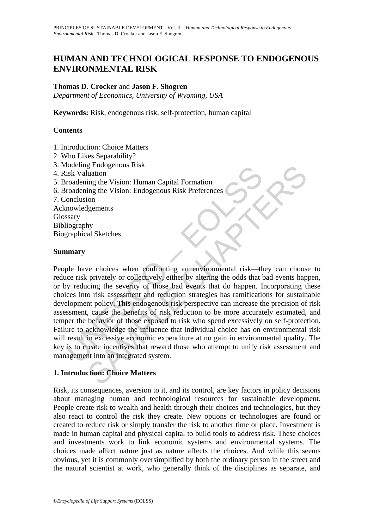# **HUMAN AND TECHNOLOGICAL RESPONSE TO ENDOGENOUS ENVIRONMENTAL RISK**

# **Thomas D. Crocker** and **Jason F. Shogren**

*Department of Economics, University of Wyoming, USA* 

**Keywords:** Risk, endogenous risk, self-protection, human capital

## **Contents**

- 1. Introduction: Choice Matters
- 2. Who Likes Separability?
- 3. Modeling Endogenous Risk
- 4. Risk Valuation
- 5. Broadening the Vision: Human Capital Formation
- 6. Broadening the Vision: Endogenous Risk Preferences
- 7. Conclusion
- Acknowledgements Glossary Bibliography Biographical Sketches

### **Summary**

notening Enlogenous Kisk<br>
isk Valuation<br>
isk Valuation<br>
roadening the Vision: Endogenous Risk Preferences<br>
onclusion<br>
mowledgements<br>
stary<br>
graphical Sketches<br>
marry<br>
ple have choices when confronting an environmental risk Example the Vision: Human Capital Formation<br>
ing the Vision: Human Capital Formation<br>
ing the Vision: Endogenous Risk Preferences<br>
igements<br>
geneements<br>
yeve choices when confronting an environmental risk—they can choos<br>
p People have choices when confronting an environmental risk—they can choose to reduce risk privately or collectively, either by altering the odds that bad events happen, or by reducing the severity of those bad events that do happen. Incorporating these choices into risk assessment and reduction strategies has ramifications for sustainable development policy. This endogenous risk perspective can increase the precision of risk assessment, cause the benefits of risk reduction to be more accurately estimated, and temper the behavior of those exposed to risk who spend excessively on self-protection. Failure to acknowledge the influence that individual choice has on environmental risk will result in excessive economic expenditure at no gain in environmental quality. The key is to create incentives that reward those who attempt to unify risk assessment and management into an integrated system.

# **1. Introduction: Choice Matters**

Risk, its consequences, aversion to it, and its control, are key factors in policy decisions about managing human and technological resources for sustainable development. People create risk to wealth and health through their choices and technologies, but they also react to control the risk they create. New options or technologies are found or created to reduce risk or simply transfer the risk to another time or place. Investment is made in human capital and physical capital to build tools to address risk. These choices and investments work to link economic systems and environmental systems. The choices made affect nature just as nature affects the choices. And while this seems obvious, yet it is commonly oversimplified by both the ordinary person in the street and the natural scientist at work, who generally think of the disciplines as separate, and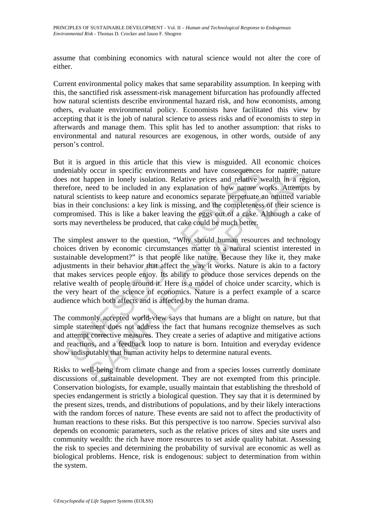assume that combining economics with natural science would not alter the core of either.

Current environmental policy makes that same separability assumption. In keeping with this, the sanctified risk assessment-risk management bifurcation has profoundly affected how natural scientists describe environmental hazard risk, and how economists, among others, evaluate environmental policy. Economists have facilitated this view by accepting that it is the job of natural science to assess risks and of economists to step in afterwards and manage them. This split has led to another assumption: that risks to environmental and natural resources are exogenous, in other words, outside of any person's control.

But it is argued in this article that this view is misguided. All economic choices undeniably occur in specific environments and have consequences for nature; nature does not happen in lonely isolation. Relative prices and relative wealth in a region, therefore, need to be included in any explanation of how nature works. Attempts by natural scientists to keep nature and economics separate perpetuate an omitted variable bias in their conclusions: a key link is missing, and the completeness of their science is compromised. This is like a baker leaving the eggs out of a cake. Although a cake of sorts may nevertheless be produced, that cake could be much better.

eniably occur in specific environments and have consequences<br>s not happen in lonely isolation. Relative prices and relative w<br>efore, need to be included in any explanation of how nature w<br>in their conclusions: a key link i occur in specific environments and have consequences for nature; nappen in lonely isolation. Relative prices and relative wealth in a regueed to be included in any explanation of how nature works. Attemptitis to keep natur The simplest answer to the question, "Why should human resources and technology choices driven by economic circumstances matter to a natural scientist interested in sustainable development?" is that people like nature. Because they like it, they make adjustments in their behavior that affect the way it works. Nature is akin to a factory that makes services people enjoy. Its ability to produce those services depends on the relative wealth of people around it. Here is a model of choice under scarcity, which is the very heart of the science of economics. Nature is a perfect example of a scarce audience which both affects and is affected by the human drama.

The commonly accepted world-view says that humans are a blight on nature, but that simple statement does not address the fact that humans recognize themselves as such and attempt corrective measures. They create a series of adaptive and mitigative actions and reactions, and a feedback loop to nature is born. Intuition and everyday evidence show indisputably that human activity helps to determine natural events.

Risks to well-being from climate change and from a species losses currently dominate discussions of sustainable development. They are not exempted from this principle. Conservation biologists, for example, usually maintain that establishing the threshold of species endangerment is strictly a biological question. They say that it is determined by the present sizes, trends, and distributions of populations, and by their likely interactions with the random forces of nature. These events are said not to affect the productivity of human reactions to these risks. But this perspective is too narrow. Species survival also depends on economic parameters, such as the relative prices of sites and site users and community wealth: the rich have more resources to set aside quality habitat. Assessing the risk to species and determining the probability of survival are economic as well as biological problems. Hence, risk is endogenous: subject to determination from within the system.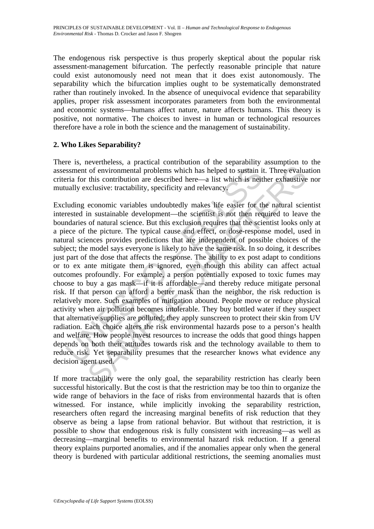The endogenous risk perspective is thus properly skeptical about the popular risk assessment-management bifurcation. The perfectly reasonable principle that nature could exist autonomously need not mean that it does exist autonomously. The separability which the bifurcation implies ought to be systematically demonstrated rather than routinely invoked. In the absence of unequivocal evidence that separability applies, proper risk assessment incorporates parameters from both the environmental and economic systems—humans affect nature, nature affects humans. This theory is positive, not normative. The choices to invest in human or technological resources therefore have a role in both the science and the management of sustainability.

# **2. Who Likes Separability?**

There is, nevertheless, a practical contribution of the separability assumption to the assessment of environmental problems which has helped to sustain it. Three evaluation criteria for this contribution are described here—a list which is neither exhaustive nor mutually exclusive: tractability, specificity and relevancy.

ssment of environmental problems which has helped to sustain in<br>ria for this contribution are described here—a list which is neit<br>ually exclusive: tractability, specificity and relevancy.<br>Unding economic variables undoubte of environmental problems which has helped to sustain it. Three evaluatis contribution are described here—a list which is neither exhaustive cclusive: tractability, specificity and relevancy.<br>
economic variables undoubtedl Excluding economic variables undoubtedly makes life easier for the natural scientist interested in sustainable development—the scientist is not then required to leave the boundaries of natural science. But this exclusion requires that the scientist looks only at a piece of the picture. The typical cause and effect, or dose-response model, used in natural sciences provides predictions that are independent of possible choices of the subject; the model says everyone is likely to have the same risk. In so doing, it describes just part of the dose that affects the response. The ability to ex post adapt to conditions or to ex ante mitigate them is ignored, even though this ability can affect actual outcomes profoundly. For example, a person potentially exposed to toxic fumes may choose to buy a gas mask—if it is affordable—and thereby reduce mitigate personal risk. If that person can afford a better mask than the neighbor, the risk reduction is relatively more. Such examples of mitigation abound. People move or reduce physical activity when air pollution becomes intolerable. They buy bottled water if they suspect that alternative supplies are polluted; they apply sunscreen to protect their skin from UV radiation. Each choice alters the risk environmental hazards pose to a person's health and welfare. How people invest resources to increase the odds that good things happen depends on both their attitudes towards risk and the technology available to them to reduce risk. Yet separability presumes that the researcher knows what evidence any decision agent used.

If more tractability were the only goal, the separability restriction has clearly been successful historically. But the cost is that the restriction may be too thin to organize the wide range of behaviors in the face of risks from environmental hazards that is often witnessed. For instance, while implicitly invoking the separability restriction, researchers often regard the increasing marginal benefits of risk reduction that they observe as being a lapse from rational behavior. But without that restriction, it is possible to show that endogenous risk is fully consistent with increasing—as well as decreasing—marginal benefits to environmental hazard risk reduction. If a general theory explains purported anomalies, and if the anomalies appear only when the general theory is burdened with particular additional restrictions, the seeming anomalies must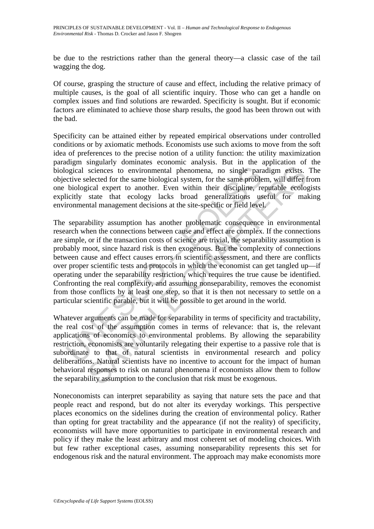be due to the restrictions rather than the general theory—a classic case of the tail wagging the dog.

Of course, grasping the structure of cause and effect, including the relative primacy of multiple causes, is the goal of all scientific inquiry. Those who can get a handle on complex issues and find solutions are rewarded. Specificity is sought. But if economic factors are eliminated to achieve those sharp results, the good has been thrown out with the bad.

Specificity can be attained either by repeated empirical observations under controlled conditions or by axiomatic methods. Economists use such axioms to move from the soft idea of preferences to the precise notion of a utility function: the utility maximization paradigm singularly dominates economic analysis. But in the application of the biological sciences to environmental phenomena, no single paradigm exists. The objective selected for the same biological system, for the same problem, will differ from one biological expert to another. Even within their discipline, reputable ecologists explicitly state that ecology lacks broad generalizations useful for making environmental management decisions at the site-specific or field level.

ogical sciences to environmental phenomena, no single paractive selected for the same biological system, for the same proble biological expert to another. Even within their discipline, relicitly state that ecology lacks br sciences to environmental phenomena, no single paradigm exists.<br>sciences to environmental phenomena, no single paradigm exists.<br>elected for the same biological system, for the same problem, will differ the<br>state that ecolo The separability assumption has another problematic consequence in environmental research when the connections between cause and effect are complex. If the connections are simple, or if the transaction costs of science are trivial, the separability assumption is probably moot, since hazard risk is then exogenous. But the complexity of connections between cause and effect causes errors in scientific assessment, and there are conflicts over proper scientific tests and protocols in which the economist can get tangled up—if operating under the separability restriction, which requires the true cause be identified. Confronting the real complexity, and assuming nonseparability, removes the economist from those conflicts by at least one step, so that it is then not necessary to settle on a particular scientific parable, but it will be possible to get around in the world.

Whatever arguments can be made for separability in terms of specificity and tractability, the real cost of the assumption comes in terms of relevance: that is, the relevant applications of economics to environmental problems. By allowing the separability restriction, economists are voluntarily relegating their expertise to a passive role that is subordinate to that of natural scientists in environmental research and policy deliberations. Natural scientists have no incentive to account for the impact of human behavioral responses to risk on natural phenomena if economists allow them to follow the separability assumption to the conclusion that risk must be exogenous.

Noneconomists can interpret separability as saying that nature sets the pace and that people react and respond, but do not alter its everyday workings. This perspective places economics on the sidelines during the creation of environmental policy. Rather than opting for great tractability and the appearance (if not the reality) of specificity, economists will have more opportunities to participate in environmental research and policy if they make the least arbitrary and most coherent set of modeling choices. With but few rather exceptional cases, assuming nonseparability represents this set for endogenous risk and the natural environment. The approach may make economists more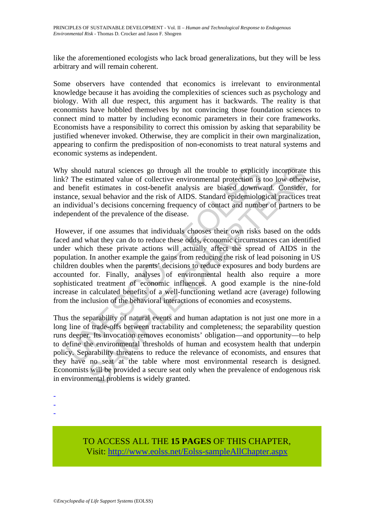like the aforementioned ecologists who lack broad generalizations, but they will be less arbitrary and will remain coherent.

Some observers have contended that economics is irrelevant to environmental knowledge because it has avoiding the complexities of sciences such as psychology and biology. With all due respect, this argument has it backwards. The reality is that economists have hobbled themselves by not convincing those foundation sciences to connect mind to matter by including economic parameters in their core frameworks. Economists have a responsibility to correct this omission by asking that separability be justified whenever invoked. Otherwise, they are complicit in their own marginalization, appearing to confirm the predisposition of non-economists to treat natural systems and economic systems as independent.

Why should natural sciences go through all the trouble to explicitly incorporate this link? The estimated value of collective environmental protection is too low otherwise, and benefit estimates in cost-benefit analysis are biased downward. Consider, for instance, sexual behavior and the risk of AIDS. Standard epidemiological practices treat an individual's decisions concerning frequency of contact and number of partners to be independent of the prevalence of the disease.

y should natural sciences go through all the trouble to explicit<br>? The estimated value of collective environmental protection is<br>benefit estimates in cost-benefit analysis are biased downwis<br>ance, sexual behavior and the r ld natural sciences go through all the trouble to explicitly incorporate estimated value of collective environmental protection is too low of<br>herver straintes in cost-benefit analysis are biased downward. Consider,<br>testima However, if one assumes that individuals chooses their own risks based on the odds faced and what they can do to reduce these odds, economic circumstances can identified under which these private actions will actually affect the spread of AIDS in the population. In another example the gains from reducing the risk of lead poisoning in US children doubles when the parents' decisions to reduce exposures and body burdens are accounted for. Finally, analyses of environmental health also require a more sophisticated treatment of economic influences. A good example is the nine-fold increase in calculated benefits of a well-functioning wetland acre (average) following from the inclusion of the behavioral interactions of economies and ecosystems.

Thus the separability of natural events and human adaptation is not just one more in a long line of trade-offs between tractability and completeness; the separability question runs deeper. Its invocation removes economists' obligation—and opportunity—to help to define the environmental thresholds of human and ecosystem health that underpin policy. Separability threatens to reduce the relevance of economists, and ensures that they have no seat at the table where most environmental research is designed. Economists will be provided a secure seat only when the prevalence of endogenous risk in environmental problems is widely granted.

- -
- -
- -

TO ACCESS ALL THE **15 PAGES** OF THIS CHAPTER, Visit[: http://www.eolss.net/Eolss-sampleAllChapter.aspx](https://www.eolss.net/ebooklib/sc_cart.aspx?File=E1-46A-04-02)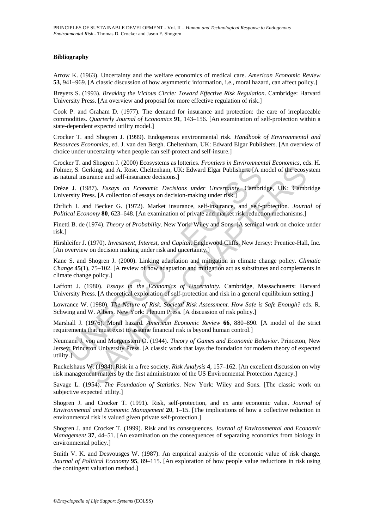### **Bibliography**

Arrow K. (1963). Uncertainty and the welfare economics of medical care. *American Economic Review* **53**, 941–969. [A classic discussion of how asymmetric information, i.e., moral hazard, can affect policy.]

Breyers S. (1993). *Breaking the Vicious Circle: Toward Effective Risk Regulation*. Cambridge: Harvard University Press. [An overview and proposal for more effective regulation of risk.]

Cook P. and Graham D. (1977). The demand for insurance and protection: the care of irreplaceable commodities. *Quarterly Journal of Economics* **91**, 143–156. [An examination of self-protection within a state-dependent expected utility model.]

Crocker T. and Shogren J. (1999). Endogenous environmental risk. *Handbook of Environmental and Resources Economics*, ed. J. van den Bergh. Cheltenham, UK: Edward Elgar Publishers. [An overview of choice under uncertainty when people can self-protect and self-insure.]

Crocker T. and Shogren J. (2000) Ecosystems as lotteries. *Frontiers in Environmental Economics*, eds. H. Folmer, S. Gerking, and A. Rose. Cheltenham, UK: Edward Elgar Publishers. [A model of the ecosystem as natural insurance and self-insurance decisions.]

Drèze J. (1987). *Essays on Economic Decisions under Uncertainty*. Cambridge, UK: Cambridge University Press. [A collection of essays on decision-making under risk.]

Ehrlich I. and Becker G. (1972). Market insurance, self-insurance, and self-protection*. Journal of Political Economy* **80**, 623–648. [An examination of private and market risk reduction mechanisms.]

Finetti B. de (1974). *Theory of Probability*. New York: Wiley and Sons. [A seminal work on choice under risk.]

Hirshleifer J. (1970). *Investment, Interest, and Capital*. Englewood Cliffs, New Jersey: Prentice-Hall, Inc. [An overview on decision making under risk and uncertainty.]

ener, S. Gerking, and A. Rose. Cheltenham, UK: Edward Elgar Publishers. [A ntural insurance and self-insurance decisions.]<br>
Let U. (1987). *Essays on Economic Decisions under Uncertainty*. Cambri<br>
ersity Press. [A collecti Entrained States and Consumer Consumer Consumer Consumer Consumer Consumer Consumer Consumer Consumer Chapter Terms and All Rose. Chellenham, UK: Edward Elgar Publishers: [A model of the ecosynamic Decisions]<br>
SPST). Essay Kane S. and Shogren J. (2000). Linking adaptation and mitigation in climate change policy. *Climatic Change* **45**(1), 75–102. [A review of how adaptation and mitigation act as substitutes and complements in climate change policy.]

Laffont J. (1980). *Essays in the Economics of Uncertainty*. Cambridge, Massachusetts: Harvard University Press. [A theoretical exploration of self-protection and risk in a general equilibrium setting.]

Lowrance W. (1980). *The Nature of Risk. Societal Risk Assessment. How Safe is Safe Enough?* eds. R. Schwing and W. Albers. New York: Plenum Press. [A discussion of risk policy.]

Marshall J. (1976). Moral hazard. *American Economic Review* **66**, 880–890. [A model of the strict requirements that must exist to assume financial risk is beyond human control.]

Neumann J. von and Morgenstern O. (1944). *Theory of Games and Economic Behavior*. Princeton, New Jersey: Princeton University Press. [A classic work that lays the foundation for modern theory of expected utility.]

Ruckelshaus W. (1984). Risk in a free society. *Risk Analysis* **4**, 157–162. [An excellent discussion on why risk management matters by the first administrator of the US Environmental Protection Agency.]

Savage L. (1954). *The Foundation of Statistics*. New York: Wiley and Sons. [The classic work on subjective expected utility.]

Shogren J. and Crocker T. (1991). Risk, self-protection, and ex ante economic value. *Journal of Environmental and Economic Management* **20**, 1–15. [The implications of how a collective reduction in environmental risk is valued given private self-protection.]

Shogren J. and Crocker T. (1999). Risk and its consequences. *Journal of Environmental and Economic Management* **37**, 44–51. [An examination on the consequences of separating economics from biology in environmental policy.]

Smith V. K. and Desvousges W. (1987). An empirical analysis of the economic value of risk change. *Journal of Political Economy* **95**, 89–115. [An exploration of how people value reductions in risk using the contingent valuation method.]